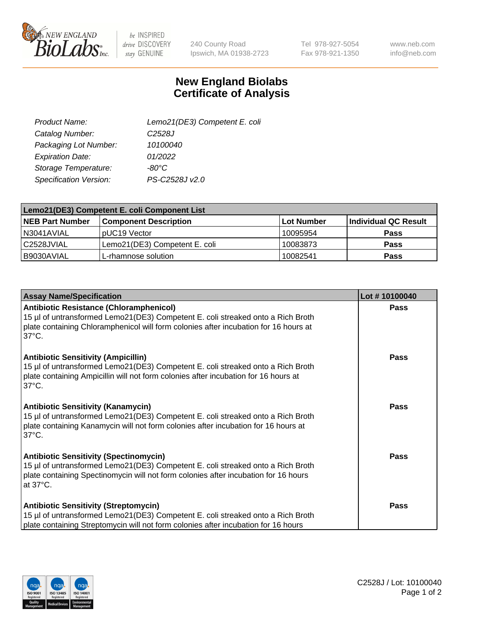

 $be$  INSPIRED drive DISCOVERY stay GENUINE

240 County Road Ipswich, MA 01938-2723 Tel 978-927-5054 Fax 978-921-1350

www.neb.com info@neb.com

## **New England Biolabs Certificate of Analysis**

| Product Name:           | Lemo21(DE3) Competent E. coli |
|-------------------------|-------------------------------|
| Catalog Number:         | C <sub>2528</sub> J           |
| Packaging Lot Number:   | 10100040                      |
| <b>Expiration Date:</b> | 01/2022                       |
| Storage Temperature:    | $-80^{\circ}$ C               |
| Specification Version:  | PS-C2528J v2.0                |

| Lemo21(DE3) Competent E. coli Component List |                               |            |                             |  |
|----------------------------------------------|-------------------------------|------------|-----------------------------|--|
| <b>NEB Part Number</b>                       | <b>Component Description</b>  | Lot Number | <b>Individual QC Result</b> |  |
| N3041AVIAL                                   | I pUC19 Vector                | 10095954   | <b>Pass</b>                 |  |
| l C2528JVIAL                                 | Lemo21(DE3) Competent E. coli | 10083873   | <b>Pass</b>                 |  |
| B9030AVIAL                                   | L-rhamnose solution           | 10082541   | <b>Pass</b>                 |  |

| <b>Assay Name/Specification</b>                                                                                                                                                                                                              | Lot #10100040 |
|----------------------------------------------------------------------------------------------------------------------------------------------------------------------------------------------------------------------------------------------|---------------|
| <b>Antibiotic Resistance (Chloramphenicol)</b><br>15 µl of untransformed Lemo21(DE3) Competent E. coli streaked onto a Rich Broth<br>plate containing Chloramphenicol will form colonies after incubation for 16 hours at<br>$37^{\circ}$ C. | Pass          |
| <b>Antibiotic Sensitivity (Ampicillin)</b><br>15 µl of untransformed Lemo21(DE3) Competent E. coli streaked onto a Rich Broth<br>plate containing Ampicillin will not form colonies after incubation for 16 hours at<br>$37^{\circ}$ C.      | Pass          |
| <b>Antibiotic Sensitivity (Kanamycin)</b><br>15 µl of untransformed Lemo21(DE3) Competent E. coli streaked onto a Rich Broth<br>plate containing Kanamycin will not form colonies after incubation for 16 hours at<br>$37^{\circ}$ C.        | <b>Pass</b>   |
| <b>Antibiotic Sensitivity (Spectinomycin)</b><br>15 µl of untransformed Lemo21(DE3) Competent E. coli streaked onto a Rich Broth<br>plate containing Spectinomycin will not form colonies after incubation for 16 hours<br>at 37°C.          | <b>Pass</b>   |
| <b>Antibiotic Sensitivity (Streptomycin)</b><br>15 µl of untransformed Lemo21(DE3) Competent E. coli streaked onto a Rich Broth<br>plate containing Streptomycin will not form colonies after incubation for 16 hours                        | <b>Pass</b>   |